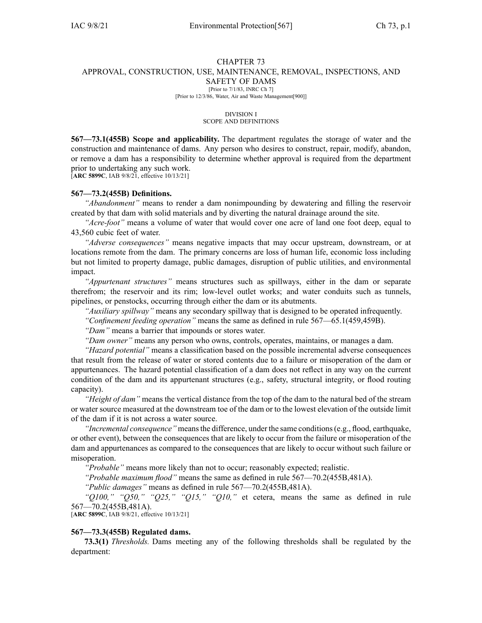#### CHAPTER 73 APPROVAL, CONSTRUCTION, USE, MAINTENANCE, REMOVAL, INSPECTIONS, AND SAFETY OF DAMS [Prior to 7/1/83, INRC Ch 7] [Prior to 12/3/86, Water, Air and Waste Management[900]]

DIVISION I SCOPE AND DEFINITIONS

**567—73.1(455B) Scope and applicability.** The department regulates the storage of water and the construction and maintenance of dams. Any person who desires to construct, repair, modify, abandon, or remove <sup>a</sup> dam has <sup>a</sup> responsibility to determine whether approval is required from the department prior to undertaking any such work.

[**ARC [5899C](https://www.legis.iowa.gov/docs/aco/arc/5899C.pdf)**, IAB 9/8/21, effective 10/13/21]

#### **567—73.2(455B) Definitions.**

*"Abandonment"* means to render <sup>a</sup> dam nonimpounding by dewatering and filling the reservoir created by that dam with solid materials and by diverting the natural drainage around the site.

*"Acre-foot"* means <sup>a</sup> volume of water that would cover one acre of land one foot deep, equal to 43,560 cubic feet of water.

*"Adverse consequences"* means negative impacts that may occur upstream, downstream, or at locations remote from the dam. The primary concerns are loss of human life, economic loss including but not limited to property damage, public damages, disruption of public utilities, and environmental impact.

*"Appurtenant structures"* means structures such as spillways, either in the dam or separate therefrom; the reservoir and its rim; low-level outlet works; and water conduits such as tunnels, pipelines, or penstocks, occurring through either the dam or its abutments.

*"Auxiliary spillway"* means any secondary spillway that is designed to be operated infrequently.

*"Confinement feeding operation"* means the same as defined in rule [567—65.1](https://www.legis.iowa.gov/docs/iac/rule/567.65.1.pdf)(459,459B).

*"Dam"* means <sup>a</sup> barrier that impounds or stores water.

*"Dam owner"* means any person who owns, controls, operates, maintains, or manages <sup>a</sup> dam.

*"Hazard potential"* means <sup>a</sup> classification based on the possible incremental adverse consequences that result from the release of water or stored contents due to <sup>a</sup> failure or misoperation of the dam or appurtenances. The hazard potential classification of <sup>a</sup> dam does not reflect in any way on the current condition of the dam and its appurtenant structures (e.g., safety, structural integrity, or flood routing capacity).

*"Height of dam"* means the vertical distance from the top of the dam to the natural bed of the stream or water source measured at the downstream toe of the dam or to the lowest elevation of the outside limit of the dam if it is not across <sup>a</sup> water source.

*"Incremental consequence"* meansthe difference, under the same conditions(e.g., flood, earthquake, or other event), between the consequences that are likely to occur from the failure or misoperation of the dam and appurtenances as compared to the consequences that are likely to occur without such failure or misoperation.

*"Probable"* means more likely than not to occur; reasonably expected; realistic.

*"Probable maximum flood"* means the same as defined in rule [567—70.2](https://www.legis.iowa.gov/docs/iac/rule/567.70.2.pdf)(455B,481A).

*"Public damages"* means as defined in rule [567—70.2](https://www.legis.iowa.gov/docs/iac/rule/567.70.2.pdf)(455B,481A).

*"Q100," "Q50," "Q25," "Q15," "Q10,"* et cetera, means the same as defined in rule [567—70.2](https://www.legis.iowa.gov/docs/iac/rule/567.70.2.pdf)(455B,481A).

[**ARC [5899C](https://www.legis.iowa.gov/docs/aco/arc/5899C.pdf)**, IAB 9/8/21, effective 10/13/21]

## **567—73.3(455B) Regulated dams.**

**73.3(1)** *Thresholds.* Dams meeting any of the following thresholds shall be regulated by the department: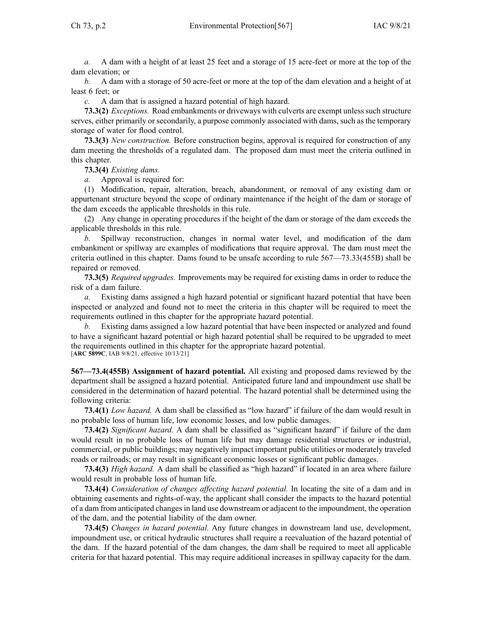*a.* A dam with <sup>a</sup> height of at least 25 feet and <sup>a</sup> storage of 15 acre-feet or more at the top of the dam elevation; or

*b.* A dam with <sup>a</sup> storage of 50 acre-feet or more at the top of the dam elevation and <sup>a</sup> height of at least 6 feet; or

*c.* A dam that is assigned <sup>a</sup> hazard potential of high hazard.

**73.3(2)** *Exceptions.* Road embankments or driveways with culverts are exempt unless such structure serves, either primarily or secondarily, <sup>a</sup> purpose commonly associated with dams, such as the temporary storage of water for flood control.

**73.3(3)** *New construction.* Before construction begins, approval is required for construction of any dam meeting the thresholds of <sup>a</sup> regulated dam. The proposed dam must meet the criteria outlined in this chapter.

**73.3(4)** *Existing dams.*

*a.* Approval is required for:

(1) Modification, repair, alteration, breach, abandonment, or removal of any existing dam or appurtenant structure beyond the scope of ordinary maintenance if the height of the dam or storage of the dam exceeds the applicable thresholds in this rule.

(2) Any change in operating procedures if the height of the dam or storage of the dam exceeds the applicable thresholds in this rule.

*b.* Spillway reconstruction, changes in normal water level, and modification of the dam embankment or spillway are examples of modifications that require approval. The dam must meet the criteria outlined in this chapter. Dams found to be unsafe according to rule [567—73.33](https://www.legis.iowa.gov/docs/iac/rule/567.73.33.pdf)(455B) shall be repaired or removed.

**73.3(5)** *Required upgrades.* Improvements may be required for existing dams in order to reduce the risk of <sup>a</sup> dam failure.

*a.* Existing dams assigned <sup>a</sup> high hazard potential or significant hazard potential that have been inspected or analyzed and found not to meet the criteria in this chapter will be required to meet the requirements outlined in this chapter for the appropriate hazard potential.

Existing dams assigned a low hazard potential that have been inspected or analyzed and found to have <sup>a</sup> significant hazard potential or high hazard potential shall be required to be upgraded to meet the requirements outlined in this chapter for the appropriate hazard potential. [**ARC [5899C](https://www.legis.iowa.gov/docs/aco/arc/5899C.pdf)**, IAB 9/8/21, effective 10/13/21]

**567—73.4(455B) Assignment of hazard potential.** All existing and proposed dams reviewed by the department shall be assigned <sup>a</sup> hazard potential. Anticipated future land and impoundment use shall be considered in the determination of hazard potential. The hazard potential shall be determined using the following criteria:

**73.4(1)** *Low hazard.* A dam shall be classified as "low hazard" if failure of the dam would result in no probable loss of human life, low economic losses, and low public damages.

**73.4(2)** *Significant hazard.* A dam shall be classified as "significant hazard" if failure of the dam would result in no probable loss of human life but may damage residential structures or industrial, commercial, or public buildings; may negatively impact important public utilities or moderately traveled roads or railroads; or may result in significant economic losses or significant public damages.

**73.4(3)** *High hazard.* A dam shall be classified as "high hazard" if located in an area where failure would result in probable loss of human life.

**73.4(4)** *Consideration of changes affecting hazard potential.* In locating the site of <sup>a</sup> dam and in obtaining easements and rights-of-way, the applicant shall consider the impacts to the hazard potential of a dam from anticipated changes in land use downstream or adjacent to the impoundment, the operation of the dam, and the potential liability of the dam owner.

**73.4(5)** *Changes in hazard potential.* Any future changes in downstream land use, development, impoundment use, or critical hydraulic structures shall require <sup>a</sup> reevaluation of the hazard potential of the dam. If the hazard potential of the dam changes, the dam shall be required to meet all applicable criteria for that hazard potential. This may require additional increases in spillway capacity for the dam.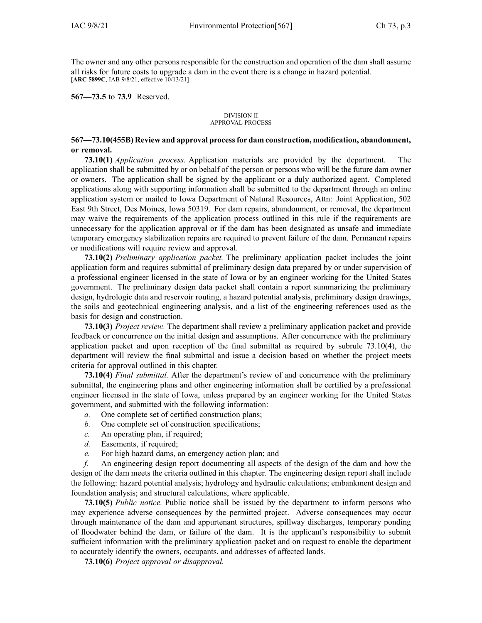The owner and any other persons responsible for the construction and operation of the dam shall assume all risks for future costs to upgrade <sup>a</sup> dam in the event there is <sup>a</sup> change in hazard potential. [**ARC [5899C](https://www.legis.iowa.gov/docs/aco/arc/5899C.pdf)**, IAB 9/8/21, effective 10/13/21]

**567—73.5** to **73.9** Reserved.

#### DIVISION II APPROVAL PROCESS

# **567—73.10(455B) Review and approval processfor dam construction, modification, abandonment, or removal.**

**73.10(1)** *Application process.* Application materials are provided by the department. The application shall be submitted by or on behalf of the person or persons who will be the future dam owner or owners. The application shall be signed by the applicant or <sup>a</sup> duly authorized agent. Completed applications along with supporting information shall be submitted to the department through an online application system or mailed to Iowa Department of Natural Resources, Attn: Joint Application, 502 East 9th Street, Des Moines, Iowa 50319. For dam repairs, abandonment, or removal, the department may waive the requirements of the application process outlined in this rule if the requirements are unnecessary for the application approval or if the dam has been designated as unsafe and immediate temporary emergency stabilization repairs are required to preven<sup>t</sup> failure of the dam. Permanent repairs or modifications will require review and approval.

**73.10(2)** *Preliminary application packet.* The preliminary application packet includes the joint application form and requires submittal of preliminary design data prepared by or under supervision of <sup>a</sup> professional engineer licensed in the state of Iowa or by an engineer working for the United States government. The preliminary design data packet shall contain <sup>a</sup> repor<sup>t</sup> summarizing the preliminary design, hydrologic data and reservoir routing, <sup>a</sup> hazard potential analysis, preliminary design drawings, the soils and geotechnical engineering analysis, and <sup>a</sup> list of the engineering references used as the basis for design and construction.

**73.10(3)** *Project review.* The department shall review <sup>a</sup> preliminary application packet and provide feedback or concurrence on the initial design and assumptions. After concurrence with the preliminary application packet and upon reception of the final submittal as required by subrule [73.10\(4\)](https://www.legis.iowa.gov/docs/iac/rule/567.73.10.pdf), the department will review the final submittal and issue <sup>a</sup> decision based on whether the project meets criteria for approval outlined in this chapter.

**73.10(4)** *Final submittal.* After the department's review of and concurrence with the preliminary submittal, the engineering plans and other engineering information shall be certified by <sup>a</sup> professional engineer licensed in the state of Iowa, unless prepared by an engineer working for the United States government, and submitted with the following information:

- *a.* One complete set of certified construction plans;
- *b.* One complete set of construction specifications;
- *c.* An operating plan, if required;
- *d.* Easements, if required;
- *e.* For high hazard dams, an emergency action plan; and

*f.* An engineering design repor<sup>t</sup> documenting all aspects of the design of the dam and how the design of the dam meets the criteria outlined in this chapter. The engineering design repor<sup>t</sup> shall include the following: hazard potential analysis; hydrology and hydraulic calculations; embankment design and foundation analysis; and structural calculations, where applicable.

**73.10(5)** *Public notice.* Public notice shall be issued by the department to inform persons who may experience adverse consequences by the permitted project. Adverse consequences may occur through maintenance of the dam and appurtenant structures, spillway discharges, temporary ponding of floodwater behind the dam, or failure of the dam. It is the applicant's responsibility to submit sufficient information with the preliminary application packet and on reques<sup>t</sup> to enable the department to accurately identify the owners, occupants, and addresses of affected lands.

**73.10(6)** *Project approval or disapproval.*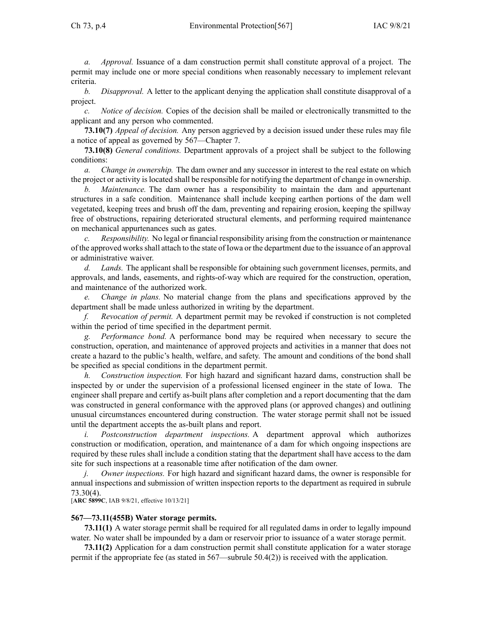*a. Approval.* Issuance of <sup>a</sup> dam construction permit shall constitute approval of <sup>a</sup> project. The permit may include one or more special conditions when reasonably necessary to implement relevant criteria.

*b. Disapproval.* A letter to the applicant denying the application shall constitute disapproval of <sup>a</sup> project.

*c. Notice of decision.* Copies of the decision shall be mailed or electronically transmitted to the applicant and any person who commented.

**73.10(7)** *Appeal of decision.* Any person aggrieved by <sup>a</sup> decision issued under these rules may file <sup>a</sup> notice of appeal as governed by [567—Chapter](https://www.legis.iowa.gov/docs/iac/chapter/567.7.pdf) 7.

**73.10(8)** *General conditions.* Department approvals of <sup>a</sup> project shall be subject to the following conditions:

*a. Change in ownership.* The dam owner and any successor in interest to the real estate on which the project or activity islocated shall be responsible for notifying the department of change in ownership.

*Maintenance*. The dam owner has a responsibility to maintain the dam and appurtenant structures in <sup>a</sup> safe condition. Maintenance shall include keeping earthen portions of the dam well vegetated, keeping trees and brush off the dam, preventing and repairing erosion, keeping the spillway free of obstructions, repairing deteriorated structural elements, and performing required maintenance on mechanical appurtenances such as gates.

*c. Responsibility.* No legal or financial responsibility arising from the construction or maintenance of the approved worksshall attach to the state of Iowa or the department due to the issuance of an approval or administrative waiver.

*d. Lands.* The applicant shall be responsible for obtaining such governmen<sup>t</sup> licenses, permits, and approvals, and lands, easements, and rights-of-way which are required for the construction, operation, and maintenance of the authorized work.

*e. Change in plans.* No material change from the plans and specifications approved by the department shall be made unless authorized in writing by the department.

*f. Revocation of permit.* A department permit may be revoked if construction is not completed within the period of time specified in the department permit.

*g. Performance bond.* A performance bond may be required when necessary to secure the construction, operation, and maintenance of approved projects and activities in <sup>a</sup> manner that does not create <sup>a</sup> hazard to the public's health, welfare, and safety. The amount and conditions of the bond shall be specified as special conditions in the department permit.

*h. Construction inspection.* For high hazard and significant hazard dams, construction shall be inspected by or under the supervision of <sup>a</sup> professional licensed engineer in the state of Iowa. The engineer shall prepare and certify as-built plans after completion and <sup>a</sup> repor<sup>t</sup> documenting that the dam was constructed in general conformance with the approved plans (or approved changes) and outlining unusual circumstances encountered during construction. The water storage permit shall not be issued until the department accepts the as-built plans and report.

*i. Postconstruction department inspections.* A department approval which authorizes construction or modification, operation, and maintenance of <sup>a</sup> dam for which ongoing inspections are required by these rules shall include <sup>a</sup> condition stating that the department shall have access to the dam site for such inspections at <sup>a</sup> reasonable time after notification of the dam owner.

*j. Owner inspections.* For high hazard and significant hazard dams, the owner is responsible for annual inspections and submission of written inspection reports to the department as required in [subrule](https://www.legis.iowa.gov/docs/iac/rule/567.73.30.pdf) [73.30\(4\)](https://www.legis.iowa.gov/docs/iac/rule/567.73.30.pdf).

[**ARC [5899C](https://www.legis.iowa.gov/docs/aco/arc/5899C.pdf)**, IAB 9/8/21, effective 10/13/21]

## **567—73.11(455B) Water storage permits.**

**73.11(1)** A water storage permit shall be required for all regulated dams in order to legally impound water. No water shall be impounded by <sup>a</sup> dam or reservoir prior to issuance of <sup>a</sup> water storage permit.

**73.11(2)** Application for <sup>a</sup> dam construction permit shall constitute application for <sup>a</sup> water storage permit if the appropriate fee (as stated in [567—subrule](https://www.legis.iowa.gov/docs/iac/rule/567.50.4.pdf) 50.4(2)) is received with the application.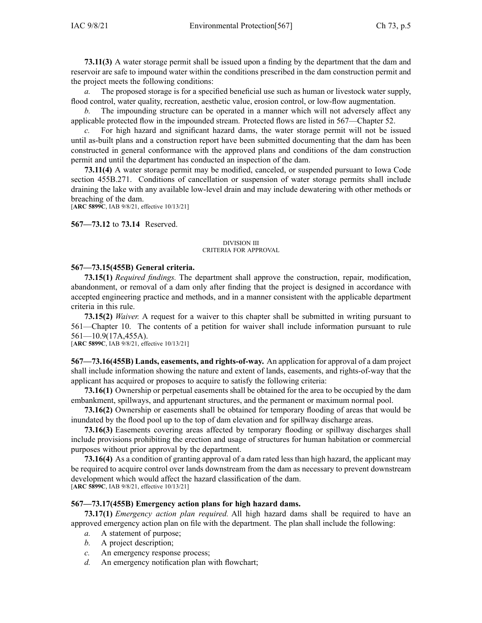**73.11(3)** A water storage permit shall be issued upon <sup>a</sup> finding by the department that the dam and reservoir are safe to impound water within the conditions prescribed in the dam construction permit and the project meets the following conditions:

*a.* The proposed storage is for <sup>a</sup> specified beneficial use such as human or livestock water supply, flood control, water quality, recreation, aesthetic value, erosion control, or low-flow augmentation.

*b.* The impounding structure can be operated in <sup>a</sup> manner which will not adversely affect any applicable protected flow in the impounded stream. Protected flows are listed in [567—Chapter](https://www.legis.iowa.gov/docs/iac/chapter/567.52.pdf) 52.

*c.* For high hazard and significant hazard dams, the water storage permit will not be issued until as-built plans and <sup>a</sup> construction repor<sup>t</sup> have been submitted documenting that the dam has been constructed in general conformance with the approved plans and conditions of the dam construction permit and until the department has conducted an inspection of the dam.

**73.11(4)** A water storage permit may be modified, canceled, or suspended pursuan<sup>t</sup> to Iowa Code section [455B.271](https://www.legis.iowa.gov/docs/ico/section/455B.271.pdf). Conditions of cancellation or suspension of water storage permits shall include draining the lake with any available low-level drain and may include dewatering with other methods or breaching of the dam. [**ARC [5899C](https://www.legis.iowa.gov/docs/aco/arc/5899C.pdf)**, IAB 9/8/21, effective 10/13/21]

**567—73.12** to **73.14** Reserved.

#### DIVISION III CRITERIA FOR APPROVAL

## **567—73.15(455B) General criteria.**

**73.15(1)** *Required findings.* The department shall approve the construction, repair, modification, abandonment, or removal of <sup>a</sup> dam only after finding that the project is designed in accordance with accepted engineering practice and methods, and in <sup>a</sup> manner consistent with the applicable department criteria in this rule.

**73.15(2)** *Waiver.* A reques<sup>t</sup> for <sup>a</sup> waiver to this chapter shall be submitted in writing pursuan<sup>t</sup> to [561—Chapter](https://www.legis.iowa.gov/docs/iac/chapter/561.10.pdf) 10. The contents of <sup>a</sup> petition for waiver shall include information pursuan<sup>t</sup> to rule [561—10.9](https://www.legis.iowa.gov/docs/iac/rule/561.10.9.pdf)(17A,455A).

[**ARC [5899C](https://www.legis.iowa.gov/docs/aco/arc/5899C.pdf)**, IAB 9/8/21, effective 10/13/21]

**567—73.16(455B) Lands, easements, and rights-of-way.** An application for approval of <sup>a</sup> dam project shall include information showing the nature and extent of lands, easements, and rights-of-way that the applicant has acquired or proposes to acquire to satisfy the following criteria:

**73.16(1)** Ownership or perpetual easements shall be obtained for the area to be occupied by the dam embankment, spillways, and appurtenant structures, and the permanen<sup>t</sup> or maximum normal pool.

**73.16(2)** Ownership or easements shall be obtained for temporary flooding of areas that would be inundated by the flood pool up to the top of dam elevation and for spillway discharge areas.

**73.16(3)** Easements covering areas affected by temporary flooding or spillway discharges shall include provisions prohibiting the erection and usage of structures for human habitation or commercial purposes without prior approval by the department.

**73.16(4)** As <sup>a</sup> condition of granting approval of <sup>a</sup> dam rated less than high hazard, the applicant may be required to acquire control over lands downstream from the dam as necessary to preven<sup>t</sup> downstream development which would affect the hazard classification of the dam. [**ARC [5899C](https://www.legis.iowa.gov/docs/aco/arc/5899C.pdf)**, IAB 9/8/21, effective 10/13/21]

# **567—73.17(455B) Emergency action plans for high hazard dams.**

**73.17(1)** *Emergency action plan required.* All high hazard dams shall be required to have an approved emergency action plan on file with the department. The plan shall include the following:

- *a.* A statement of purpose;
- *b.* A project description;
- *c.* An emergency response process;
- *d.* An emergency notification plan with flowchart;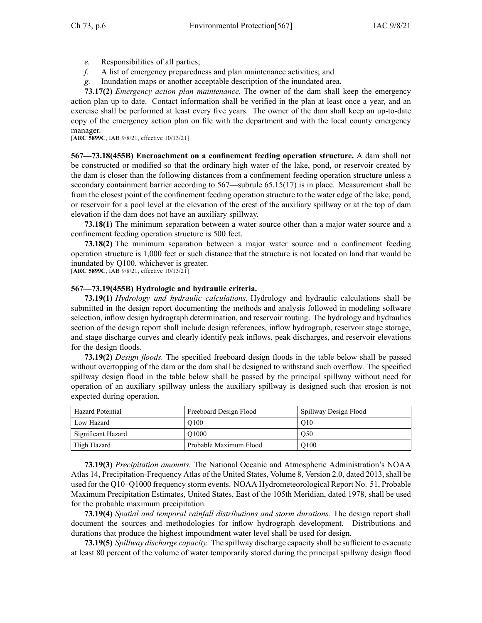- *e.* Responsibilities of all parties;
- *f.* A list of emergency preparedness and plan maintenance activities; and
- *g.* Inundation maps or another acceptable description of the inundated area.

**73.17(2)** *Emergency action plan maintenance.* The owner of the dam shall keep the emergency action plan up to date. Contact information shall be verified in the plan at least once <sup>a</sup> year, and an exercise shall be performed at least every five years. The owner of the dam shall keep an up-to-date copy of the emergency action plan on file with the department and with the local county emergency manager.

[**ARC [5899C](https://www.legis.iowa.gov/docs/aco/arc/5899C.pdf)**, IAB 9/8/21, effective 10/13/21]

**567—73.18(455B) Encroachment on <sup>a</sup> confinement feeding operation structure.** A dam shall not be constructed or modified so that the ordinary high water of the lake, pond, or reservoir created by the dam is closer than the following distances from <sup>a</sup> confinement feeding operation structure unless <sup>a</sup> secondary containment barrier according to [567—subrule](https://www.legis.iowa.gov/docs/iac/rule/567.65.15.pdf) 65.15(17) is in place. Measurement shall be from the closest point of the confinement feeding operation structure to the water edge of the lake, pond, or reservoir for <sup>a</sup> pool level at the elevation of the crest of the auxiliary spillway or at the top of dam elevation if the dam does not have an auxiliary spillway.

**73.18(1)** The minimum separation between <sup>a</sup> water source other than <sup>a</sup> major water source and <sup>a</sup> confinement feeding operation structure is 500 feet.

**73.18(2)** The minimum separation between <sup>a</sup> major water source and <sup>a</sup> confinement feeding operation structure is 1,000 feet or such distance that the structure is not located on land that would be inundated by Q100, whichever is greater.

[**ARC [5899C](https://www.legis.iowa.gov/docs/aco/arc/5899C.pdf)**, IAB 9/8/21, effective 10/13/21]

## **567—73.19(455B) Hydrologic and hydraulic criteria.**

**73.19(1)** *Hydrology and hydraulic calculations.* Hydrology and hydraulic calculations shall be submitted in the design repor<sup>t</sup> documenting the methods and analysis followed in modeling software selection, inflow design hydrograph determination, and reservoir routing. The hydrology and hydraulics section of the design repor<sup>t</sup> shall include design references, inflow hydrograph, reservoir stage storage, and stage discharge curves and clearly identify peak inflows, peak discharges, and reservoir elevations for the design floods.

**73.19(2)** *Design floods.* The specified freeboard design floods in the table below shall be passed without overtopping of the dam or the dam shall be designed to withstand such overflow. The specified spillway design flood in the table below shall be passed by the principal spillway without need for operation of an auxiliary spillway unless the auxiliary spillway is designed such that erosion is not expected during operation.

| Hazard Potential   | Freeboard Design Flood | Spillway Design Flood |
|--------------------|------------------------|-----------------------|
| Low Hazard         | O <sub>100</sub>       | O <sub>10</sub>       |
| Significant Hazard | O <sub>1000</sub>      | O50                   |
| High Hazard        | Probable Maximum Flood | O <sub>100</sub>      |

**73.19(3)** *Precipitation amounts.* The National Oceanic and Atmospheric Administration's NOAA Atlas 14, Precipitation-Frequency Atlas of the United States, Volume 8, Version 2.0, dated 2013, shall be used for the Q10–Q1000 frequency storm events. NOAA Hydrometeorological Report No. 51, Probable Maximum Precipitation Estimates, United States, East of the 105th Meridian, dated 1978, shall be used for the probable maximum precipitation.

**73.19(4)** *Spatial and temporal rainfall distributions and storm durations.* The design repor<sup>t</sup> shall document the sources and methodologies for inflow hydrograph development. Distributions and durations that produce the highest impoundment water level shall be used for design.

**73.19(5)** *Spillway discharge capacity.* The spillway discharge capacity shall be sufficient to evacuate at least 80 percen<sup>t</sup> of the volume of water temporarily stored during the principal spillway design flood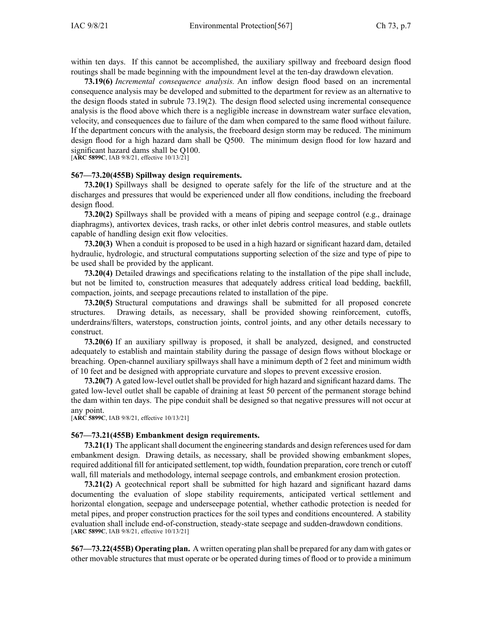within ten days. If this cannot be accomplished, the auxiliary spillway and freeboard design flood routings shall be made beginning with the impoundment level at the ten-day drawdown elevation.

**73.19(6)** *Incremental consequence analysis.* An inflow design flood based on an incremental consequence analysis may be developed and submitted to the department for review as an alternative to the design floods stated in subrule [73.19\(2\)](https://www.legis.iowa.gov/docs/iac/rule/567.73.19.pdf). The design flood selected using incremental consequence analysis is the flood above which there is <sup>a</sup> negligible increase in downstream water surface elevation, velocity, and consequences due to failure of the dam when compared to the same flood without failure. If the department concurs with the analysis, the freeboard design storm may be reduced. The minimum design flood for <sup>a</sup> high hazard dam shall be Q500. The minimum design flood for low hazard and significant hazard dams shall be Q100.

[**ARC [5899C](https://www.legis.iowa.gov/docs/aco/arc/5899C.pdf)**, IAB 9/8/21, effective 10/13/21]

#### **567—73.20(455B) Spillway design requirements.**

**73.20(1)** Spillways shall be designed to operate safely for the life of the structure and at the discharges and pressures that would be experienced under all flow conditions, including the freeboard design flood.

**73.20(2)** Spillways shall be provided with <sup>a</sup> means of piping and seepage control (e.g., drainage diaphragms), antivortex devices, trash racks, or other inlet debris control measures, and stable outlets capable of handling design exit flow velocities.

**73.20(3)** When <sup>a</sup> conduit is proposed to be used in <sup>a</sup> high hazard or significant hazard dam, detailed hydraulic, hydrologic, and structural computations supporting selection of the size and type of pipe to be used shall be provided by the applicant.

**73.20(4)** Detailed drawings and specifications relating to the installation of the pipe shall include, but not be limited to, construction measures that adequately address critical load bedding, backfill, compaction, joints, and seepage precautions related to installation of the pipe.

**73.20(5)** Structural computations and drawings shall be submitted for all proposed concrete structures. Drawing details, as necessary, shall be provided showing reinforcement, cutoffs, underdrains/filters, waterstops, construction joints, control joints, and any other details necessary to construct.

**73.20(6)** If an auxiliary spillway is proposed, it shall be analyzed, designed, and constructed adequately to establish and maintain stability during the passage of design flows without blockage or breaching. Open-channel auxiliary spillways shall have <sup>a</sup> minimum depth of 2 feet and minimum width of 10 feet and be designed with appropriate curvature and slopes to preven<sup>t</sup> excessive erosion.

**73.20(7)** A gated low-level outletshall be provided for high hazard and significant hazard dams. The gated low-level outlet shall be capable of draining at least 50 percen<sup>t</sup> of the permanen<sup>t</sup> storage behind the dam within ten days. The pipe conduit shall be designed so that negative pressures will not occur at any point.

[**ARC [5899C](https://www.legis.iowa.gov/docs/aco/arc/5899C.pdf)**, IAB 9/8/21, effective 10/13/21]

#### **567—73.21(455B) Embankment design requirements.**

**73.21(1)** The applicant shall document the engineering standards and design references used for dam embankment design. Drawing details, as necessary, shall be provided showing embankment slopes, required additional fill for anticipated settlement, top width, foundation preparation, core trench or cutoff wall, fill materials and methodology, internal seepage controls, and embankment erosion protection.

**73.21(2)** A geotechnical repor<sup>t</sup> shall be submitted for high hazard and significant hazard dams documenting the evaluation of slope stability requirements, anticipated vertical settlement and horizontal elongation, seepage and underseepage potential, whether cathodic protection is needed for metal pipes, and proper construction practices for the soil types and conditions encountered. A stability evaluation shall include end-of-construction, steady-state seepage and sudden-drawdown conditions. [**ARC [5899C](https://www.legis.iowa.gov/docs/aco/arc/5899C.pdf)**, IAB 9/8/21, effective 10/13/21]

**567—73.22(455B) Operating plan.** A written operating plan shall be prepared for any dam with gates or other movable structures that must operate or be operated during times of flood or to provide <sup>a</sup> minimum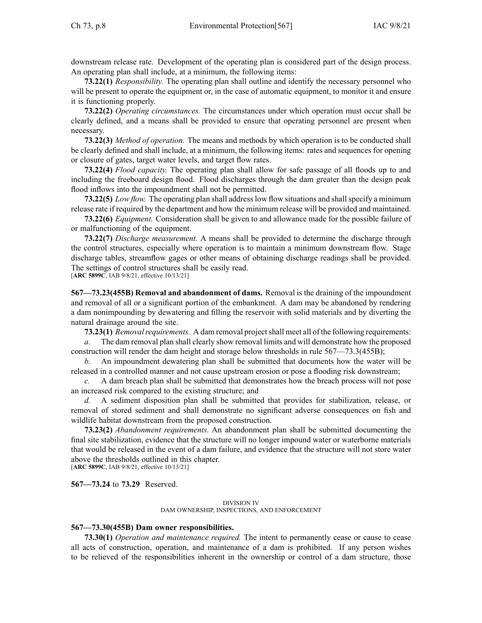downstream release rate. Development of the operating plan is considered par<sup>t</sup> of the design process. An operating plan shall include, at <sup>a</sup> minimum, the following items:

**73.22(1)** *Responsibility.* The operating plan shall outline and identify the necessary personnel who will be present to operate the equipment or, in the case of automatic equipment, to monitor it and ensure it is functioning properly.

**73.22(2)** *Operating circumstances.* The circumstances under which operation must occur shall be clearly defined, and <sup>a</sup> means shall be provided to ensure that operating personnel are presen<sup>t</sup> when necessary.

**73.22(3)** *Method of operation.* The means and methods by which operation is to be conducted shall be clearly defined and shall include, at <sup>a</sup> minimum, the following items: rates and sequences for opening or closure of gates, target water levels, and target flow rates.

**73.22(4)** *Flood capacity.* The operating plan shall allow for safe passage of all floods up to and including the freeboard design flood. Flood discharges through the dam greater than the design peak flood inflows into the impoundment shall not be permitted.

**73.22(5)** *Low flow.* The operating plan shall address low flow situations and shall specify a minimum release rate if required by the department and how the minimum release will be provided and maintained.

**73.22(6)** *Equipment.* Consideration shall be given to and allowance made for the possible failure of or malfunctioning of the equipment.

**73.22(7)** *Discharge measurement.* A means shall be provided to determine the discharge through the control structures, especially where operation is to maintain <sup>a</sup> minimum downstream flow. Stage discharge tables, streamflow gages or other means of obtaining discharge readings shall be provided. The settings of control structures shall be easily read.

[**ARC [5899C](https://www.legis.iowa.gov/docs/aco/arc/5899C.pdf)**, IAB 9/8/21, effective 10/13/21]

**567—73.23(455B) Removal and abandonment of dams.** Removal is the draining of the impoundment and removal of all or <sup>a</sup> significant portion of the embankment. A dam may be abandoned by rendering <sup>a</sup> dam nonimpounding by dewatering and filling the reservoir with solid materials and by diverting the natural drainage around the site.

73.23(1) *Removal requirements.* A dam removal project shall meet all of the following requirements:

*a.* The dam removal plan shall clearly show removal limits and will demonstrate how the proposed construction will render the dam height and storage below thresholds in rule 567—73.3(455B);

*b.* An impoundment dewatering plan shall be submitted that documents how the water will be released in <sup>a</sup> controlled manner and not cause upstream erosion or pose <sup>a</sup> flooding risk downstream;

*c.* A dam breach plan shall be submitted that demonstrates how the breach process will not pose an increased risk compared to the existing structure; and

*d.* A sediment disposition plan shall be submitted that provides for stabilization, release, or removal of stored sediment and shall demonstrate no significant adverse consequences on fish and wildlife habitat downstream from the proposed construction.

**73.23(2)** *Abandonment requirements.* An abandonment plan shall be submitted documenting the final site stabilization, evidence that the structure will no longer impound water or waterborne materials that would be released in the event of <sup>a</sup> dam failure, and evidence that the structure will not store water above the thresholds outlined in this chapter. [**ARC [5899C](https://www.legis.iowa.gov/docs/aco/arc/5899C.pdf)**, IAB 9/8/21, effective 10/13/21]

**567—73.24** to **73.29** Reserved.

#### DIVISION IV DAM OWNERSHIP, INSPECTIONS, AND ENFORCEMENT

#### **567—73.30(455B) Dam owner responsibilities.**

**73.30(1)** *Operation and maintenance required.* The intent to permanently cease or cause to cease all acts of construction, operation, and maintenance of <sup>a</sup> dam is prohibited. If any person wishes to be relieved of the responsibilities inherent in the ownership or control of <sup>a</sup> dam structure, those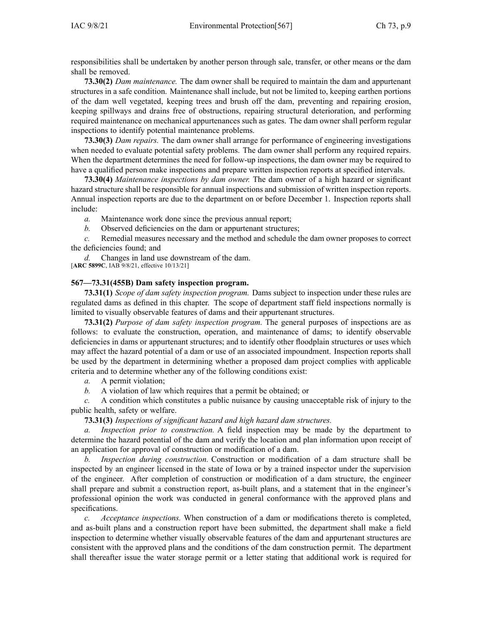responsibilities shall be undertaken by another person through sale, transfer, or other means or the dam shall be removed.

**73.30(2)** *Dam maintenance.* The dam owner shall be required to maintain the dam and appurtenant structures in <sup>a</sup> safe condition. Maintenance shall include, but not be limited to, keeping earthen portions of the dam well vegetated, keeping trees and brush off the dam, preventing and repairing erosion, keeping spillways and drains free of obstructions, repairing structural deterioration, and performing required maintenance on mechanical appurtenances such as gates. The dam owner shall perform regular inspections to identify potential maintenance problems.

**73.30(3)** *Dam repairs.* The dam owner shall arrange for performance of engineering investigations when needed to evaluate potential safety problems. The dam owner shall perform any required repairs. When the department determines the need for follow-up inspections, the dam owner may be required to have <sup>a</sup> qualified person make inspections and prepare written inspection reports at specified intervals.

**73.30(4)** *Maintenance inspections by dam owner.* The dam owner of <sup>a</sup> high hazard or significant hazard structure shall be responsible for annual inspections and submission of written inspection reports. Annual inspection reports are due to the department on or before December 1. Inspection reports shall include:

*a.* Maintenance work done since the previous annual report;

*b.* Observed deficiencies on the dam or appurtenant structures;

*c.* Remedial measures necessary and the method and schedule the dam owner proposes to correct the deficiencies found; and

*d.* Changes in land use downstream of the dam. [**ARC [5899C](https://www.legis.iowa.gov/docs/aco/arc/5899C.pdf)**, IAB 9/8/21, effective 10/13/21]

## **567—73.31(455B) Dam safety inspection program.**

**73.31(1)** *Scope of dam safety inspection program.* Dams subject to inspection under these rules are regulated dams as defined in this chapter. The scope of department staff field inspections normally is limited to visually observable features of dams and their appurtenant structures.

**73.31(2)** *Purpose of dam safety inspection program.* The general purposes of inspections are as follows: to evaluate the construction, operation, and maintenance of dams; to identify observable deficiencies in dams or appurtenant structures; and to identify other floodplain structures or uses which may affect the hazard potential of <sup>a</sup> dam or use of an associated impoundment. Inspection reports shall be used by the department in determining whether <sup>a</sup> proposed dam project complies with applicable criteria and to determine whether any of the following conditions exist:

*a.* A permit violation;

*b.* A violation of law which requires that <sup>a</sup> permit be obtained; or

*c.* A condition which constitutes <sup>a</sup> public nuisance by causing unacceptable risk of injury to the public health, safety or welfare.

**73.31(3)** *Inspections of significant hazard and high hazard dam structures.*

*a. Inspection prior to construction.* A field inspection may be made by the department to determine the hazard potential of the dam and verify the location and plan information upon receipt of an application for approval of construction or modification of <sup>a</sup> dam.

*b. Inspection during construction.* Construction or modification of <sup>a</sup> dam structure shall be inspected by an engineer licensed in the state of Iowa or by <sup>a</sup> trained inspector under the supervision of the engineer. After completion of construction or modification of <sup>a</sup> dam structure, the engineer shall prepare and submit <sup>a</sup> construction report, as-built plans, and <sup>a</sup> statement that in the engineer's professional opinion the work was conducted in general conformance with the approved plans and specifications.

*c. Acceptance inspections.* When construction of <sup>a</sup> dam or modifications thereto is completed, and as-built plans and <sup>a</sup> construction repor<sup>t</sup> have been submitted, the department shall make <sup>a</sup> field inspection to determine whether visually observable features of the dam and appurtenant structures are consistent with the approved plans and the conditions of the dam construction permit. The department shall thereafter issue the water storage permit or <sup>a</sup> letter stating that additional work is required for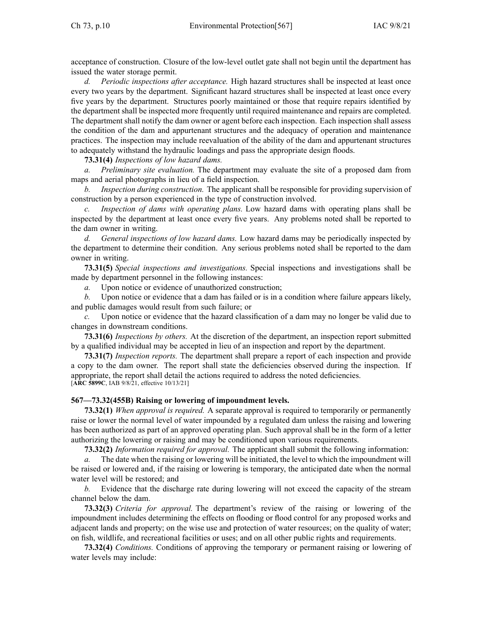acceptance of construction. Closure of the low-level outlet gate shall not begin until the department has issued the water storage permit.

*d. Periodic inspections after acceptance.* High hazard structures shall be inspected at least once every two years by the department. Significant hazard structures shall be inspected at least once every five years by the department. Structures poorly maintained or those that require repairs identified by the department shall be inspected more frequently until required maintenance and repairs are completed. The department shall notify the dam owner or agen<sup>t</sup> before each inspection. Each inspection shall assess the condition of the dam and appurtenant structures and the adequacy of operation and maintenance practices. The inspection may include reevaluation of the ability of the dam and appurtenant structures to adequately withstand the hydraulic loadings and pass the appropriate design floods.

# **73.31(4)** *Inspections of low hazard dams.*

*a. Preliminary site evaluation.* The department may evaluate the site of <sup>a</sup> proposed dam from maps and aerial photographs in lieu of <sup>a</sup> field inspection.

*b. Inspection during construction.* The applicant shall be responsible for providing supervision of construction by <sup>a</sup> person experienced in the type of construction involved.

*c. Inspection of dams with operating plans.* Low hazard dams with operating plans shall be inspected by the department at least once every five years. Any problems noted shall be reported to the dam owner in writing.

*d. General inspections of low hazard dams.* Low hazard dams may be periodically inspected by the department to determine their condition. Any serious problems noted shall be reported to the dam owner in writing.

**73.31(5)** *Special inspections and investigations.* Special inspections and investigations shall be made by department personnel in the following instances:

*a.* Upon notice or evidence of unauthorized construction;

*b.* Upon notice or evidence that <sup>a</sup> dam has failed or is in <sup>a</sup> condition where failure appears likely, and public damages would result from such failure; or

*c.* Upon notice or evidence that the hazard classification of <sup>a</sup> dam may no longer be valid due to changes in downstream conditions.

**73.31(6)** *Inspections by others.* At the discretion of the department, an inspection repor<sup>t</sup> submitted by <sup>a</sup> qualified individual may be accepted in lieu of an inspection and repor<sup>t</sup> by the department.

**73.31(7)** *Inspection reports.* The department shall prepare <sup>a</sup> repor<sup>t</sup> of each inspection and provide <sup>a</sup> copy to the dam owner. The repor<sup>t</sup> shall state the deficiencies observed during the inspection. If appropriate, the repor<sup>t</sup> shall detail the actions required to address the noted deficiencies. [**ARC [5899C](https://www.legis.iowa.gov/docs/aco/arc/5899C.pdf)**, IAB 9/8/21, effective 10/13/21]

# **567—73.32(455B) Raising or lowering of impoundment levels.**

**73.32(1)** *When approval is required.* A separate approval is required to temporarily or permanently raise or lower the normal level of water impounded by <sup>a</sup> regulated dam unless the raising and lowering has been authorized as par<sup>t</sup> of an approved operating plan. Such approval shall be in the form of <sup>a</sup> letter authorizing the lowering or raising and may be conditioned upon various requirements.

**73.32(2)** *Information required for approval.* The applicant shall submit the following information:

*a.* The date when the raising or lowering will be initiated, the level to which the impoundment will be raised or lowered and, if the raising or lowering is temporary, the anticipated date when the normal water level will be restored; and

*b.* Evidence that the discharge rate during lowering will not exceed the capacity of the stream channel below the dam.

**73.32(3)** *Criteria for approval.* The department's review of the raising or lowering of the impoundment includes determining the effects on flooding or flood control for any proposed works and adjacent lands and property; on the wise use and protection of water resources; on the quality of water; on fish, wildlife, and recreational facilities or uses; and on all other public rights and requirements.

**73.32(4)** *Conditions.* Conditions of approving the temporary or permanen<sup>t</sup> raising or lowering of water levels may include: